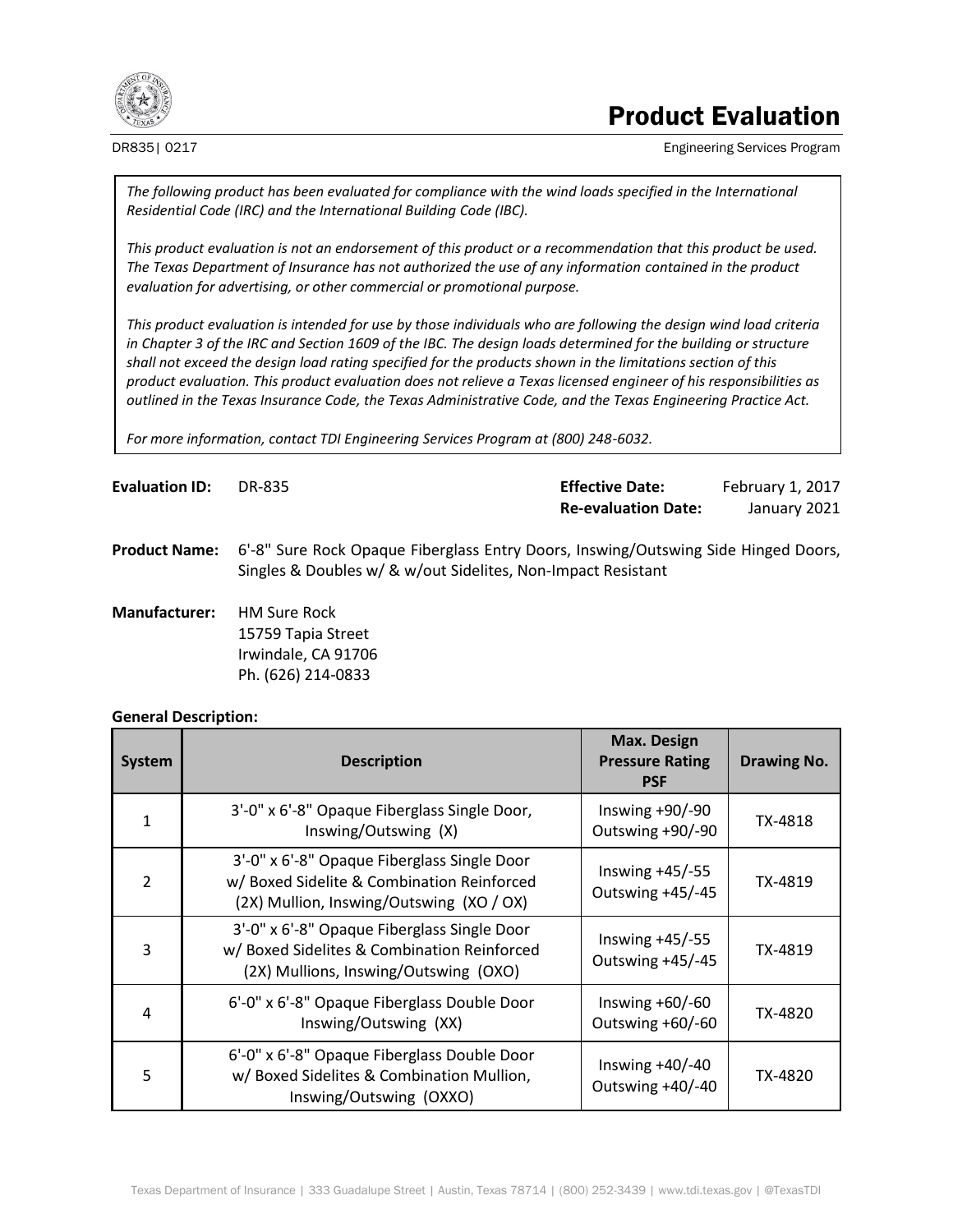

## Product Evaluation

DR835| 0217 **Engineering Services Program** Engineering Services Program

*The following product has been evaluated for compliance with the wind loads specified in the International Residential Code (IRC) and the International Building Code (IBC).*

*This product evaluation is not an endorsement of this product or a recommendation that this product be used. The Texas Department of Insurance has not authorized the use of any information contained in the product evaluation for advertising, or other commercial or promotional purpose.*

*This product evaluation is intended for use by those individuals who are following the design wind load criteria in Chapter 3 of the IRC and Section 1609 of the IBC. The design loads determined for the building or structure shall not exceed the design load rating specified for the products shown in the limitations section of this product evaluation. This product evaluation does not relieve a Texas licensed engineer of his responsibilities as outlined in the Texas Insurance Code, the Texas Administrative Code, and the Texas Engineering Practice Act.*

*For more information, contact TDI Engineering Services Program at (800) 248-6032.*

| <b>Evaluation ID:</b> | DR-835 | <b>Effective Date:</b>     | February 1, 2017 |
|-----------------------|--------|----------------------------|------------------|
|                       |        | <b>Re-evaluation Date:</b> | January 2021     |

**Product Name:** 6'-8" Sure Rock Opaque Fiberglass Entry Doors, Inswing/Outswing Side Hinged Doors, Singles & Doubles w/ & w/out Sidelites, Non-Impact Resistant

**Manufacturer:** HM Sure Rock 15759 Tapia Street Irwindale, CA 91706 Ph. (626) 214-0833

#### **General Description:**

| <b>System</b> | <b>Description</b>                                                                                                                    | <b>Max. Design</b><br><b>Pressure Rating</b><br><b>PSF</b> | <b>Drawing No.</b> |
|---------------|---------------------------------------------------------------------------------------------------------------------------------------|------------------------------------------------------------|--------------------|
|               | 3'-0" x 6'-8" Opaque Fiberglass Single Door,<br>Inswing/Outswing (X)                                                                  | Inswing $+90/-90$<br>Outswing +90/-90                      | TX-4818            |
| $\mathcal{P}$ | 3'-0" x 6'-8" Opaque Fiberglass Single Door<br>w/ Boxed Sidelite & Combination Reinforced<br>(2X) Mullion, Inswing/Outswing (XO / OX) | Inswing $+45/-55$<br>Outswing +45/-45                      | TX-4819            |
| ς             | 3'-0" x 6'-8" Opaque Fiberglass Single Door<br>w/ Boxed Sidelites & Combination Reinforced<br>(2X) Mullions, Inswing/Outswing (OXO)   | Inswing $+45/-55$<br>Outswing +45/-45                      | TX-4819            |
| 4             | 6'-0" x 6'-8" Opaque Fiberglass Double Door<br>Inswing/Outswing (XX)                                                                  | Inswing $+60/-60$<br>Outswing +60/-60                      | TX-4820            |
| 5             | 6'-0" x 6'-8" Opaque Fiberglass Double Door<br>w/ Boxed Sidelites & Combination Mullion,<br>Inswing/Outswing (OXXO)                   | Inswing $+40/-40$<br>Outswing +40/-40                      | TX-4820            |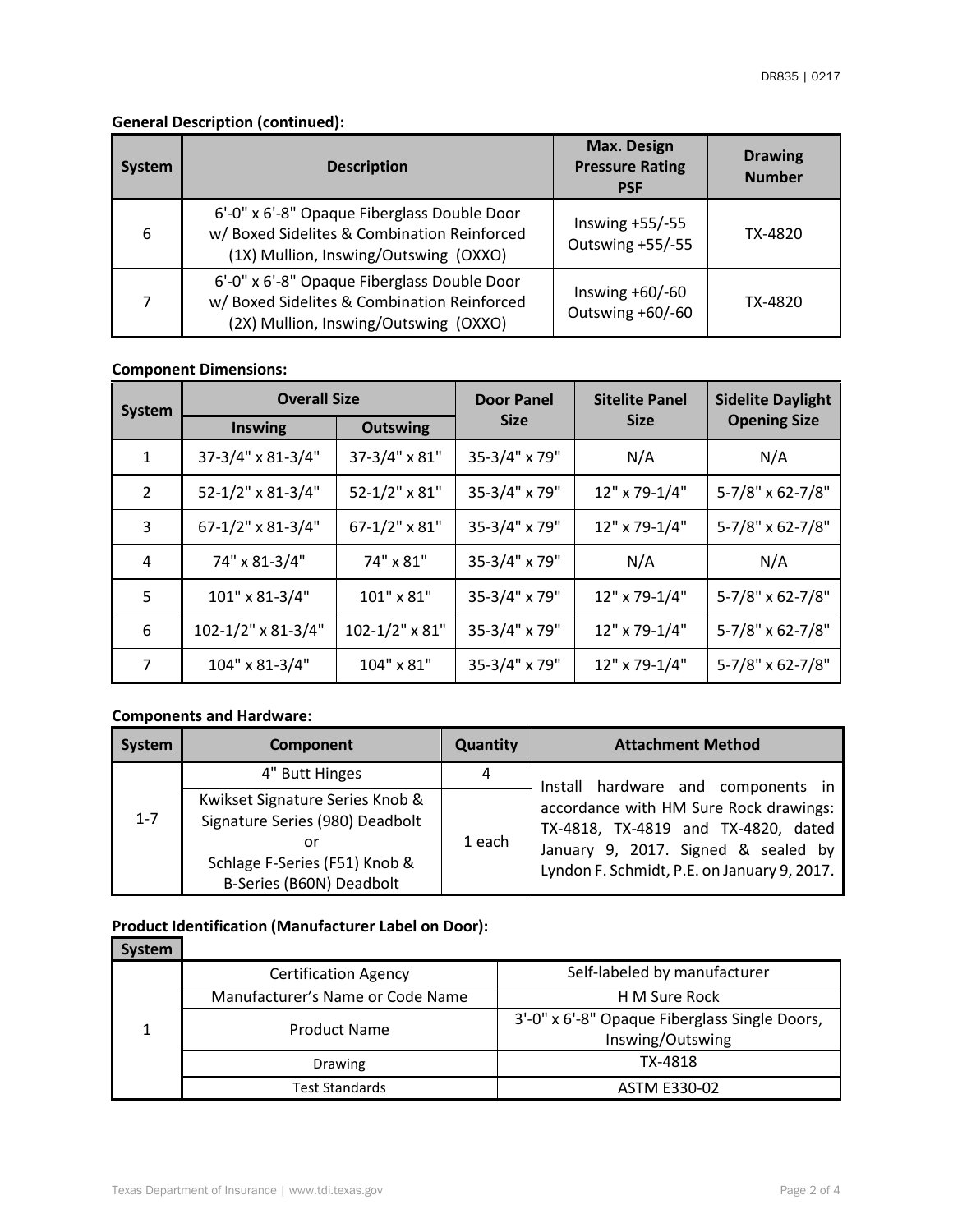### **General Description (continued):**

| <b>System</b> | <b>Description</b>                                                                                                                  | <b>Max. Design</b><br><b>Pressure Rating</b><br><b>PSF</b> | <b>Drawing</b><br><b>Number</b> |
|---------------|-------------------------------------------------------------------------------------------------------------------------------------|------------------------------------------------------------|---------------------------------|
| 6             | 6'-0" x 6'-8" Opaque Fiberglass Double Door<br>w/ Boxed Sidelites & Combination Reinforced<br>(1X) Mullion, Inswing/Outswing (OXXO) | Inswing $+55/-55$<br>Outswing +55/-55                      | TX-4820                         |
|               | 6'-0" x 6'-8" Opaque Fiberglass Double Door<br>w/ Boxed Sidelites & Combination Reinforced<br>(2X) Mullion, Inswing/Outswing (OXXO) | Inswing $+60/-60$<br>Outswing +60/-60                      | TX-4820                         |

### **Component Dimensions:**

| <b>System</b> | <b>Overall Size</b>     | <b>Sitelite Panel</b><br><b>Door Panel</b><br><b>Sidelite Daylight</b> |               |               |                     |
|---------------|-------------------------|------------------------------------------------------------------------|---------------|---------------|---------------------|
|               | <b>Inswing</b>          | <b>Outswing</b>                                                        | <b>Size</b>   | <b>Size</b>   | <b>Opening Size</b> |
| $\mathbf{1}$  | 37-3/4" x 81-3/4"       | 37-3/4" x 81"                                                          | 35-3/4" x 79" | N/A           | N/A                 |
| 2             | 52-1/2" x 81-3/4"       | 52-1/2" x 81"                                                          | 35-3/4" x 79" | 12" x 79-1/4" | 5-7/8" x 62-7/8"    |
| 3             | 67-1/2" x 81-3/4"       | $67 - 1/2$ " x 81"                                                     | 35-3/4" x 79" | 12" x 79-1/4" | 5-7/8" x 62-7/8"    |
| 4             | 74" x 81-3/4"           | 74" x 81"                                                              | 35-3/4" x 79" | N/A           | N/A                 |
| 5             | 101" x 81-3/4"          | 101" x 81"                                                             | 35-3/4" x 79" | 12" x 79-1/4" | 5-7/8" x 62-7/8"    |
| 6             | $102 - 1/2$ " x 81-3/4" | $102 - 1/2$ " x 81"                                                    | 35-3/4" x 79" | 12" x 79-1/4" | 5-7/8" x 62-7/8"    |
| 7             | 104" x 81-3/4"          | 104" x 81"                                                             | 35-3/4" x 79" | 12" x 79-1/4" | 5-7/8" x 62-7/8"    |

#### **Components and Hardware:**

| System  | Component                                                                                                                             | <b>Quantity</b> | <b>Attachment Method</b>                                                                                                                                            |
|---------|---------------------------------------------------------------------------------------------------------------------------------------|-----------------|---------------------------------------------------------------------------------------------------------------------------------------------------------------------|
|         | 4" Butt Hinges                                                                                                                        | 4               | Install hardware and components in                                                                                                                                  |
| $1 - 7$ | Kwikset Signature Series Knob &<br>Signature Series (980) Deadbolt<br>or<br>Schlage F-Series (F51) Knob &<br>B-Series (B60N) Deadbolt | 1 each          | accordance with HM Sure Rock drawings:<br>TX-4818, TX-4819 and TX-4820, dated<br>January 9, 2017. Signed & sealed by<br>Lyndon F. Schmidt, P.E. on January 9, 2017. |

# **Product Identification (Manufacturer Label on Door):**

| <b>System</b> |                                  |                                                                   |  |
|---------------|----------------------------------|-------------------------------------------------------------------|--|
|               | <b>Certification Agency</b>      | Self-labeled by manufacturer                                      |  |
|               | Manufacturer's Name or Code Name | H M Sure Rock                                                     |  |
|               | <b>Product Name</b>              | 3'-0" x 6'-8" Opaque Fiberglass Single Doors,<br>Inswing/Outswing |  |
|               | <b>Drawing</b>                   | TX-4818                                                           |  |
|               | <b>Test Standards</b>            | <b>ASTM E330-02</b>                                               |  |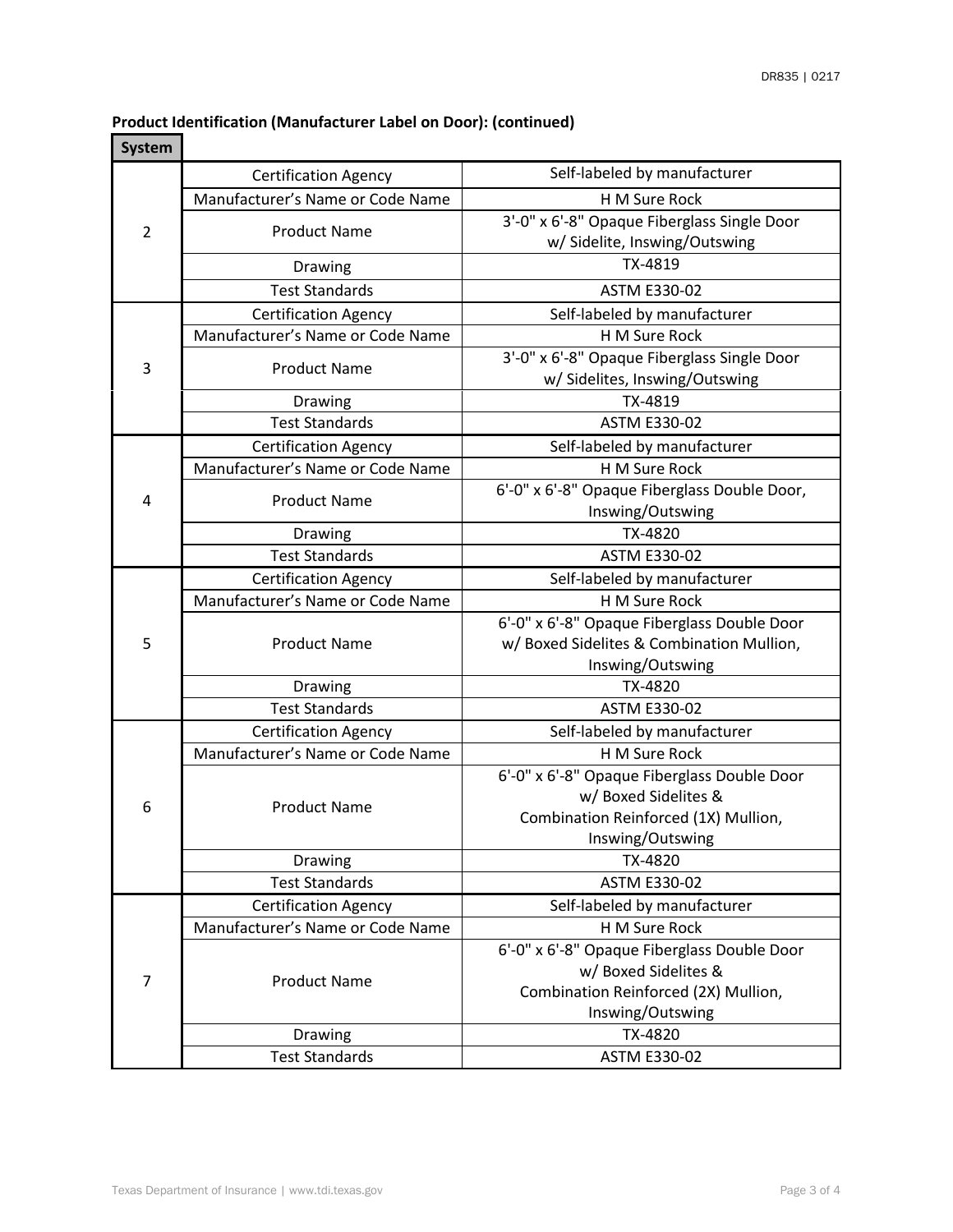#### **Product Identification (Manufacturer Label on Door): (continued)**

| System         |                                  |                                                                               |  |  |
|----------------|----------------------------------|-------------------------------------------------------------------------------|--|--|
|                | <b>Certification Agency</b>      | Self-labeled by manufacturer                                                  |  |  |
| $\overline{2}$ | Manufacturer's Name or Code Name | H M Sure Rock                                                                 |  |  |
|                | <b>Product Name</b>              | 3'-0" x 6'-8" Opaque Fiberglass Single Door                                   |  |  |
|                |                                  | w/ Sidelite, Inswing/Outswing                                                 |  |  |
|                | Drawing                          | TX-4819                                                                       |  |  |
|                | <b>Test Standards</b>            | <b>ASTM E330-02</b>                                                           |  |  |
|                | <b>Certification Agency</b>      | Self-labeled by manufacturer                                                  |  |  |
|                | Manufacturer's Name or Code Name | H M Sure Rock                                                                 |  |  |
| 3              | <b>Product Name</b>              | 3'-0" x 6'-8" Opaque Fiberglass Single Door<br>w/ Sidelites, Inswing/Outswing |  |  |
|                | Drawing                          | TX-4819                                                                       |  |  |
|                | <b>Test Standards</b>            | <b>ASTM E330-02</b>                                                           |  |  |
|                | <b>Certification Agency</b>      | Self-labeled by manufacturer                                                  |  |  |
|                | Manufacturer's Name or Code Name | H M Sure Rock                                                                 |  |  |
|                |                                  | 6'-0" x 6'-8" Opaque Fiberglass Double Door,                                  |  |  |
| 4              | <b>Product Name</b>              | Inswing/Outswing                                                              |  |  |
|                | Drawing                          | TX-4820                                                                       |  |  |
|                | <b>Test Standards</b>            | <b>ASTM E330-02</b>                                                           |  |  |
|                | <b>Certification Agency</b>      | Self-labeled by manufacturer                                                  |  |  |
|                | Manufacturer's Name or Code Name | H M Sure Rock                                                                 |  |  |
|                |                                  | 6'-0" x 6'-8" Opaque Fiberglass Double Door                                   |  |  |
| 5              | <b>Product Name</b>              | w/ Boxed Sidelites & Combination Mullion,                                     |  |  |
|                |                                  | Inswing/Outswing                                                              |  |  |
|                | Drawing                          | TX-4820                                                                       |  |  |
|                | <b>Test Standards</b>            | <b>ASTM E330-02</b>                                                           |  |  |
|                | <b>Certification Agency</b>      | Self-labeled by manufacturer                                                  |  |  |
|                | Manufacturer's Name or Code Name | H M Sure Rock                                                                 |  |  |
|                |                                  | 6'-0" x 6'-8" Opaque Fiberglass Double Door                                   |  |  |
| 6              | <b>Product Name</b>              | w/ Boxed Sidelites &                                                          |  |  |
|                |                                  | Combination Reinforced (1X) Mullion,<br>Inswing/Outswing                      |  |  |
|                | Drawing                          | TX-4820                                                                       |  |  |
|                | <b>Test Standards</b>            | <b>ASTM E330-02</b>                                                           |  |  |
|                | <b>Certification Agency</b>      | Self-labeled by manufacturer                                                  |  |  |
|                | Manufacturer's Name or Code Name | H M Sure Rock                                                                 |  |  |
| $\overline{7}$ |                                  | 6'-0" x 6'-8" Opaque Fiberglass Double Door                                   |  |  |
|                |                                  | w/ Boxed Sidelites &                                                          |  |  |
|                | <b>Product Name</b>              | Combination Reinforced (2X) Mullion,                                          |  |  |
|                |                                  | Inswing/Outswing                                                              |  |  |
|                | Drawing                          | TX-4820                                                                       |  |  |
|                | <b>Test Standards</b>            | ASTM E330-02                                                                  |  |  |